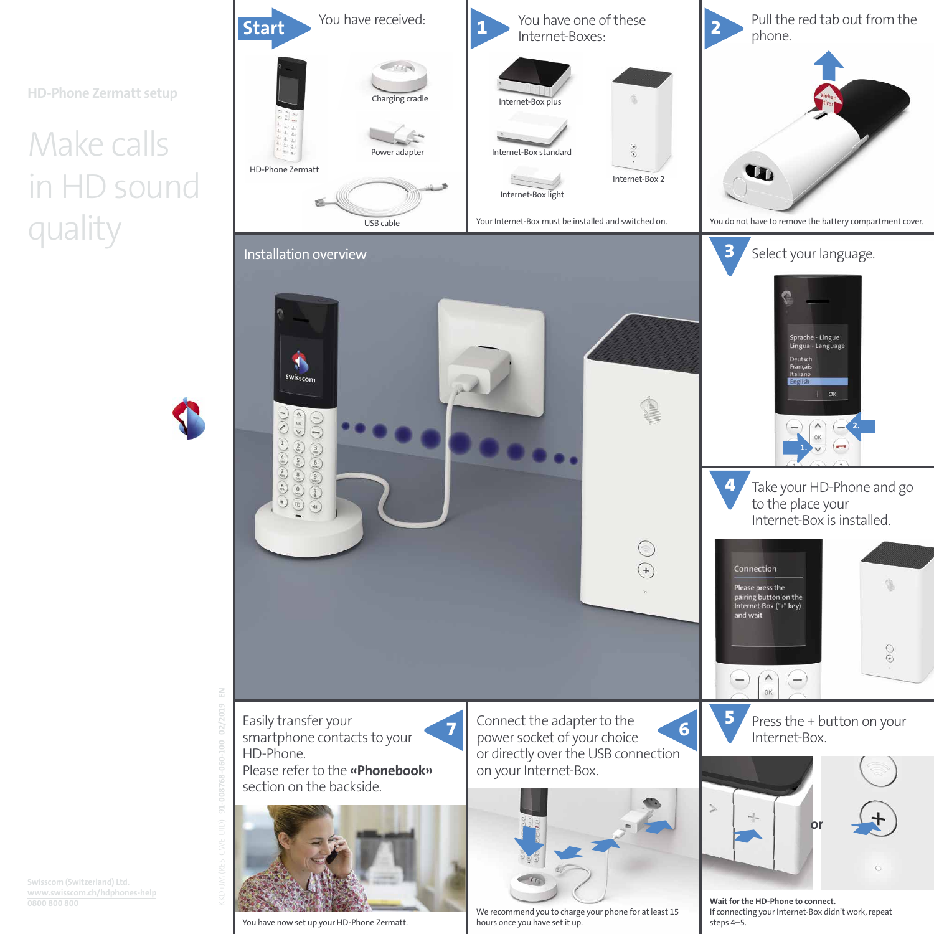**HD-Phone Zermatt setup**

# Make calls in HD sound quality



We recommend you to charge your phone for at least 15 hours once you have set it up. You have now set up your HD-Phone Zermatt. and the steps 4–5.

If connecting your Internet-Box didn't work, repeat

**Swisscom (Switzerland) Ltd. www.swisscom.ch/hdphones-help**